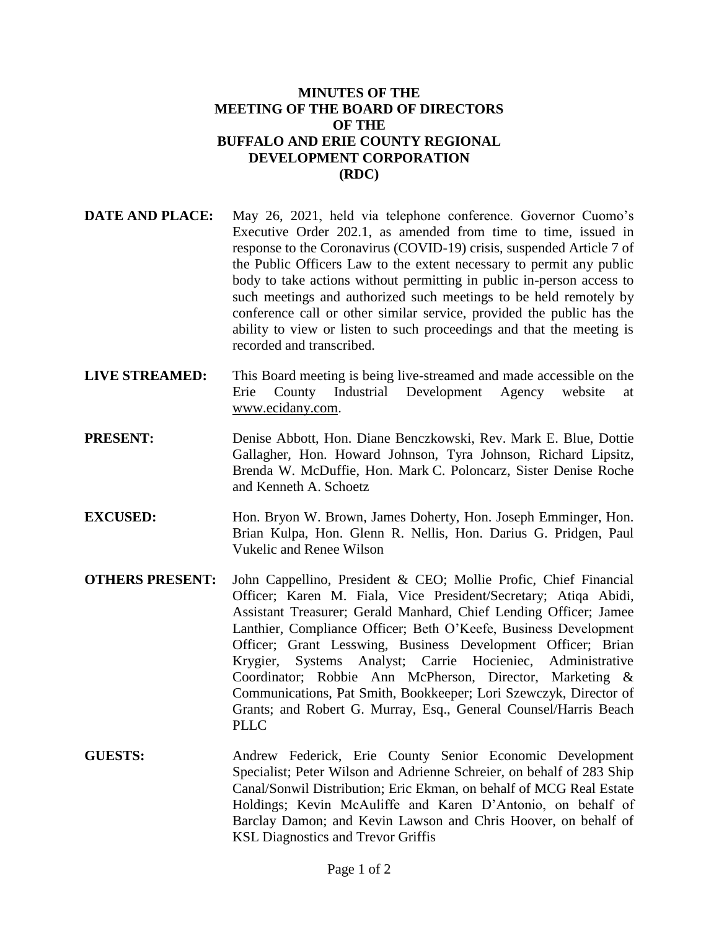## **MINUTES OF THE MEETING OF THE BOARD OF DIRECTORS OF THE BUFFALO AND ERIE COUNTY REGIONAL DEVELOPMENT CORPORATION (RDC)**

- **DATE AND PLACE:** May 26, 2021, held via telephone conference. Governor Cuomo's Executive Order 202.1, as amended from time to time, issued in response to the Coronavirus (COVID-19) crisis, suspended Article 7 of the Public Officers Law to the extent necessary to permit any public body to take actions without permitting in public in-person access to such meetings and authorized such meetings to be held remotely by conference call or other similar service, provided the public has the ability to view or listen to such proceedings and that the meeting is recorded and transcribed.
- **LIVE STREAMED:** This Board meeting is being live-streamed and made accessible on the Erie County Industrial Development Agency website at www.ecidany.com.
- **PRESENT:** Denise Abbott, Hon. Diane Benczkowski, Rev. Mark E. Blue, Dottie Gallagher, Hon. Howard Johnson, Tyra Johnson, Richard Lipsitz, Brenda W. McDuffie, Hon. Mark C. Poloncarz, Sister Denise Roche and Kenneth A. Schoetz
- **EXCUSED:** Hon. Bryon W. Brown, James Doherty, Hon. Joseph Emminger, Hon. Brian Kulpa, Hon. Glenn R. Nellis, Hon. Darius G. Pridgen, Paul Vukelic and Renee Wilson
- **OTHERS PRESENT:** John Cappellino, President & CEO; Mollie Profic, Chief Financial Officer; Karen M. Fiala, Vice President/Secretary; Atiqa Abidi, Assistant Treasurer; Gerald Manhard, Chief Lending Officer; Jamee Lanthier, Compliance Officer; Beth O'Keefe, Business Development Officer; Grant Lesswing, Business Development Officer; Brian Krygier, Systems Analyst; Carrie Hocieniec, Administrative Coordinator; Robbie Ann McPherson, Director, Marketing & Communications, Pat Smith, Bookkeeper; Lori Szewczyk, Director of Grants; and Robert G. Murray, Esq., General Counsel/Harris Beach PLLC.
- **GUESTS:** Andrew Federick, Erie County Senior Economic Development Specialist; Peter Wilson and Adrienne Schreier, on behalf of 283 Ship Canal/Sonwil Distribution; Eric Ekman, on behalf of MCG Real Estate Holdings; Kevin McAuliffe and Karen D'Antonio, on behalf of Barclay Damon; and Kevin Lawson and Chris Hoover, on behalf of KSL Diagnostics and Trevor Griffis